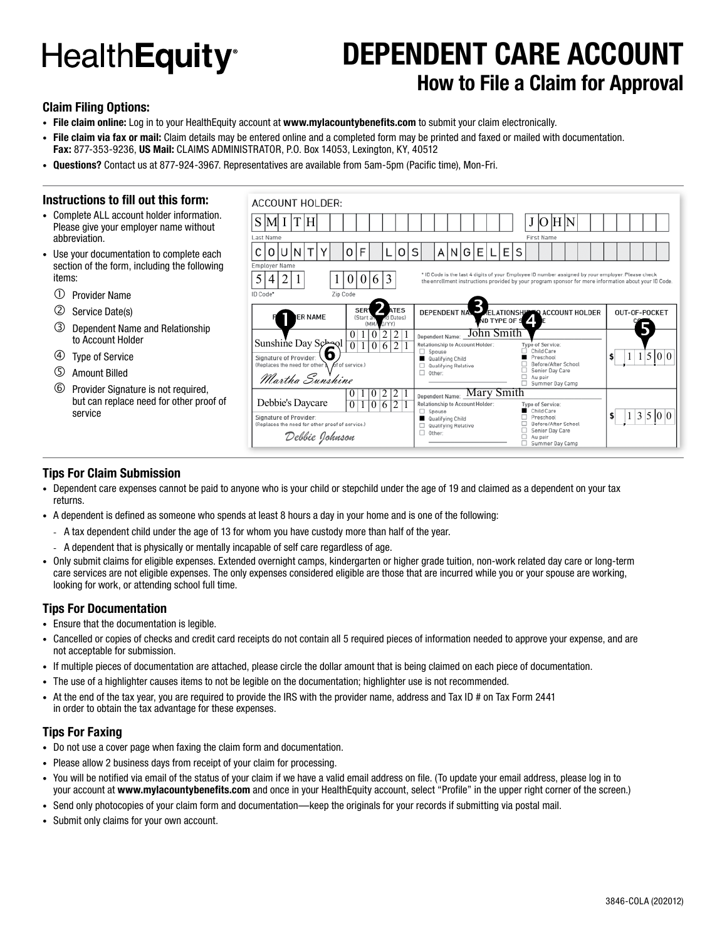# **HealthEquity**<sup>®</sup>

### **DEPENDENT CARE ACCOUNT How to File a Claim for Approval**

#### **Claim Filing Options:**

- **• File claim online:** Log in to your HealthEquity account at **www.mylacountybenefits.com** to submit your claim electronically.
- **• File claim via fax or mail:** Claim details may be entered online and a completed form may be printed and faxed or mailed with documentation. **Fax:** 877-353-9236, **US Mail:** CLAIMS ADMINISTRATOR, P.O. Box 14053, Lexington, KY, 40512
- **• Questions?** Contact us at 877-924-3967. Representatives are available from 5am-5pm (Pacific time), Mon-Fri.

#### **Instructions to fill out this form:**

- Complete ALL account holder information. Please give your employer name without abbreviation.
- Use your documentation to complete each section of the form, including the following items:
	- Provider Name
	- Service Date(s)
	- Dependent Name and Relationship to Account Holder
	- Type of Service
	- Amount Billed
	- Provider Signature is not required, but can replace need for other proof of service



#### **Tips For Claim Submission**

- Dependent care expenses cannot be paid to anyone who is your child or stepchild under the age of 19 and claimed as a dependent on your tax returns.
- A dependent is defined as someone who spends at least 8 hours a day in your home and is one of the following:
	- A tax dependent child under the age of 13 for whom you have custody more than half of the year.
	- A dependent that is physically or mentally incapable of self care regardless of age.
- Only submit claims for eligible expenses. Extended overnight camps, kindergarten or higher grade tuition, non-work related day care or long-term care services are not eligible expenses. The only expenses considered eligible are those that are incurred while you or your spouse are working, looking for work, or attending school full time.

#### **Tips For Documentation**

- Ensure that the documentation is legible.
- Cancelled or copies of checks and credit card receipts do not contain all 5 required pieces of information needed to approve your expense, and are not acceptable for submission.
- If multiple pieces of documentation are attached, please circle the dollar amount that is being claimed on each piece of documentation.
- The use of a highlighter causes items to not be legible on the documentation; highlighter use is not recommended.
- At the end of the tax year, you are required to provide the IRS with the provider name, address and Tax ID # on Tax Form 2441 in order to obtain the tax advantage for these expenses.

#### **Tips For Faxing**

- Do not use a cover page when faxing the claim form and documentation.
- Please allow 2 business days from receipt of your claim for processing.
- You will be notified via email of the status of your claim if we have a valid email address on file. (To update your email address, please log in to your account at **www.mylacountybenefits.com** and once in your HealthEquity account, select "Profile" in the upper right corner of the screen.)
- Send only photocopies of your claim form and documentation—keep the originals for your records if submitting via postal mail.
- Submit only claims for your own account.